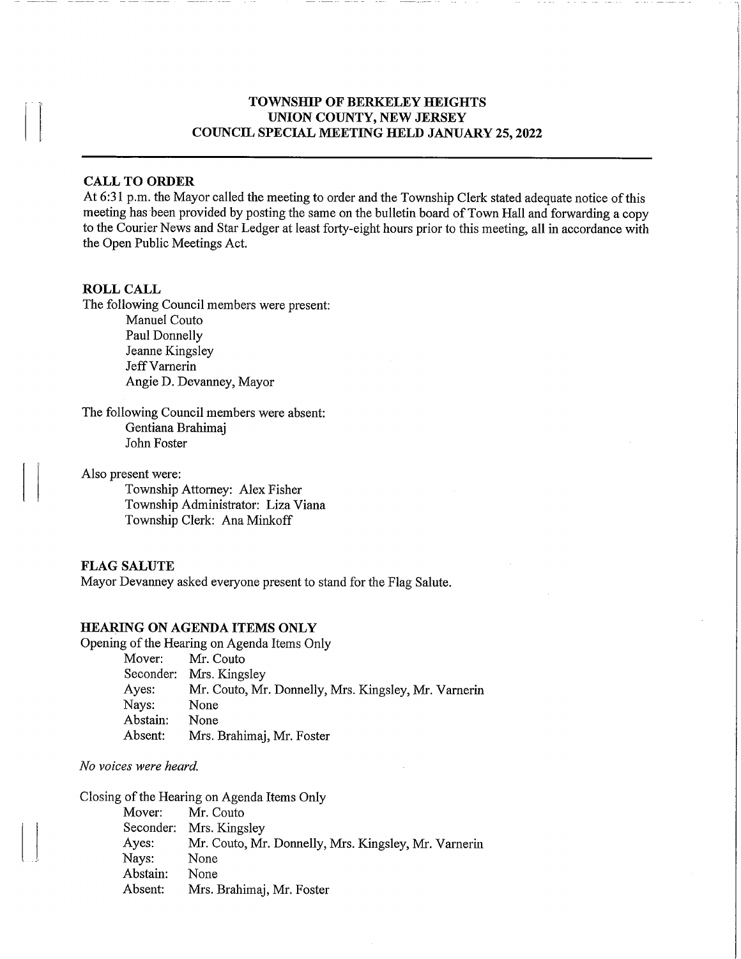## TOWNSHIP OF BERKELEY HEIGHTS UNION COUNTY, NEW JERSEY COUNCIL SPECIAL MEETING HELD JANUARY 25, 2022

## CALL TO ORDER

At 6:31 p.m. the Mayor called the meeting to order and the Township Clerk stated adequate notice of this meeting has been provided by posting the same on the bulletin board of Town Hall and forwarding a copy to the Courier News and Star Ledger at least forty-eight hours prior to this meeting, all in accordance with the Open Public Meetings Act.

#### ROLL CALL

The following Council members were present:

Manuel Couto Paul Donnelly Jeanne Kingsley Jeff Varnerin Angie D. Devanney, Mayor

The following Council members were absent: Gentiana Brahimaj John Foster

Also present were:

Township Attorney: Alex Fisher Township Administrator: Liza Viana Township Clerk: Ana Minkoff

#### FLAG SALUTE

Mayor Devanney asked everyone present to stand for the Flag Salute.

### HEARING ON AGENDA ITEMS ONLY

Opening of the Hearing on Agenda Items Only Mover: Mr. Couto Seconder: Mrs. Kingsley Ayes: Mr. Couto, Mr. Donnelly, Mrs. Kingsley, Mr. Vamerin Nays: None Abstain: None Absent: Mrs. Brahimaj, Mr. Foster

### No voices were heard.

Closing of the Hearing on Agenda Items Only Mover: Mr. Couto Seconder: Mrs. Kingsley Ayes: Mr. Couto, Mr. Donnelly, Mrs. Kingsley, Mr. Vamerin Nays: None Abstain: None Absent: Mrs. Brahimaj, Mr. Foster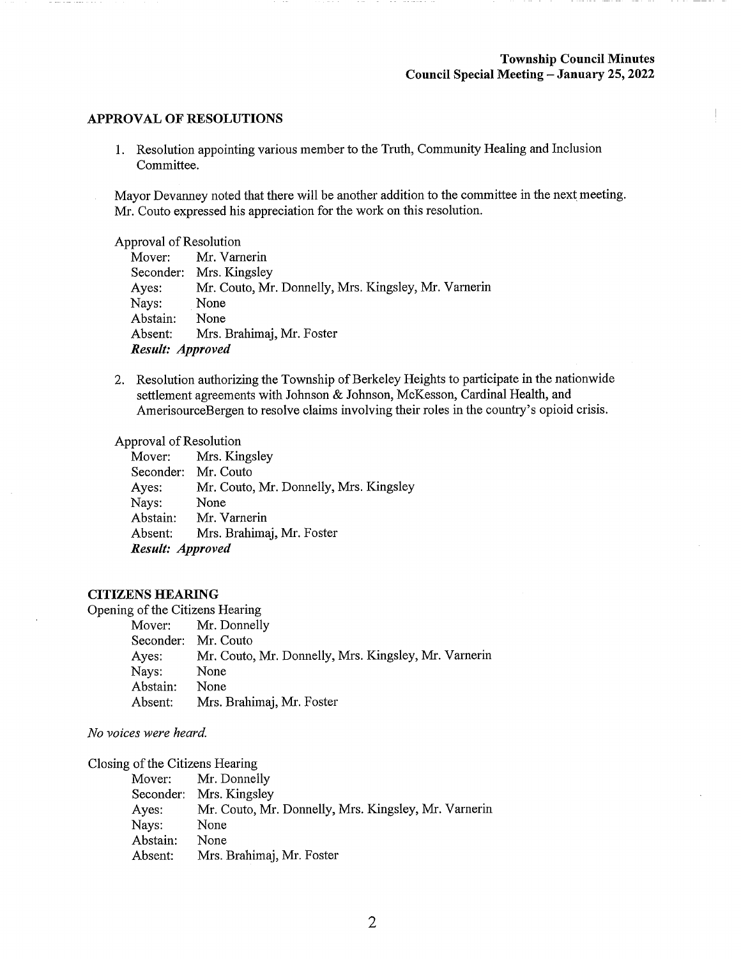#### APPROVAL OF RESOLUTIONS

1. Resolution appointing various member to the Truth, Community Healing and Inclusion Committee.

Mayor Devanney noted that there will be another addition to the committee in the next meeting. Mr. Couto expressed his appreciation for the work on this resolution.

Approval of Resolution

Mover: Seconder: Mrs. Kingsley Ayes: Nays: Abstain: Absent: Mr. Vamerin Mr. Couto, Mr. Donnelly, Mrs. Kingsley, Mr. Varnerin None None Mrs. Brahimaj, Mr. Foster Result: Approved

2. Resolution authorizing the Township of Berkeley Heights to participate in the nationwide settlement agreements with Johnson & Johnson, McKesson, Cardinal Health, and AmerisourceBergen to resolve claims involving their roles in the country's opioid crisis.

Approval of Resolution

Mover: Seconder: Mr. Couto Ayes: Nays: Abstain: Absent: Mrs. . Kingsley Mr. Couto, Mr. Donnelly, Mrs. Kingsley None Mr. Varnerin Mrs. . Brahimaj, Mr. Foster Result: Approved

## CITIZENS HEARING

Opening of the Citizens Hearing

Mover: Mr. Donnelly Seconder: Mr. Couto Ayes: Mr. Couto, Mr. Donnelly, Mrs. Kingsley, Mr. Varnerin Nays: None Abstain: None Absent: Mrs. Brahimaj, Mr. Foster

No voices were heard.

Closing of the Citizens Hearing

| Mover:   | Mr. Donnelly                                         |
|----------|------------------------------------------------------|
|          | Seconder: Mrs. Kingsley                              |
| Ayes:    | Mr. Couto, Mr. Donnelly, Mrs. Kingsley, Mr. Varnerin |
| Nays:    | None                                                 |
| Abstain: | None                                                 |
| Absent:  | Mrs. Brahimaj, Mr. Foster                            |